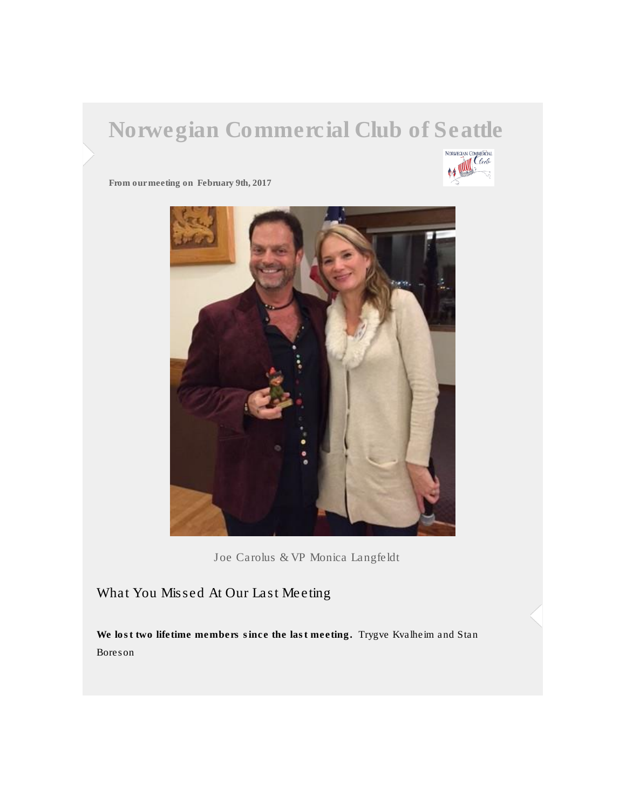## Norwegian Commercial Club of Seattle



From our meeting on February 9th, 2017



Joe Carolus & VP Monica Langfeldt

## What You Missed At Our Last Meeting

We lost two lifetime members since the last meeting. Trygve Kvalheim and Stan Boreson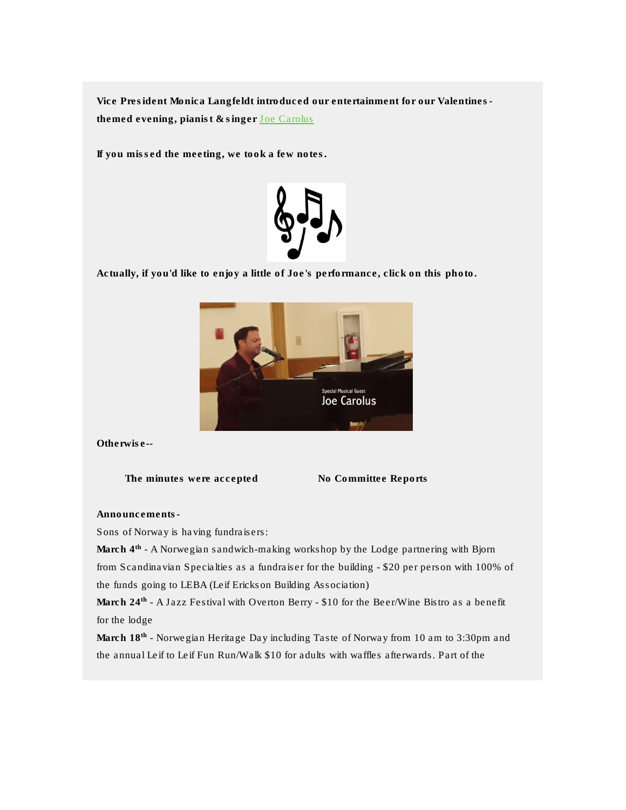Vice President Monica Langfeldt introduced our entertainment for our Valentinesthemed evening, pianist & singer [Joe Carolus](http://norwegiancommercialclub.us11.list-manage.com/track/click?u=a7e752d83242560b7baf3e672&id=5868dc5a02&e=7800d5c0cd)

If you missed the meeting, we took a few notes.



Actually, if you'd like to enjoy a little of Joe's performance, click on this photo.



Otherwise--

The minutes were accepted No Committee Reports

Announcements-

Sons of Norway is having fundraisers:

March 4<sup>th</sup> - A Norwegian sandwich-making workshop by the Lodge partnering with Bjorn from Scandinavian Specialties as a fundraiser for the building - \$20 per person with 100% of the funds going to LEBA (Leif Erickson Building Association)

March 24<sup>th</sup> - A Jazz Festival with Overton Berry - \$10 for the Beer/Wine Bistro as a benefit for the lodge

March 18th - Norwegian Heritage Day including Taste of Norway from 10 am to 3:30pm and the annual Leif to Leif Fun Run/Walk \$10 for adults with waffles afterwards. Part of the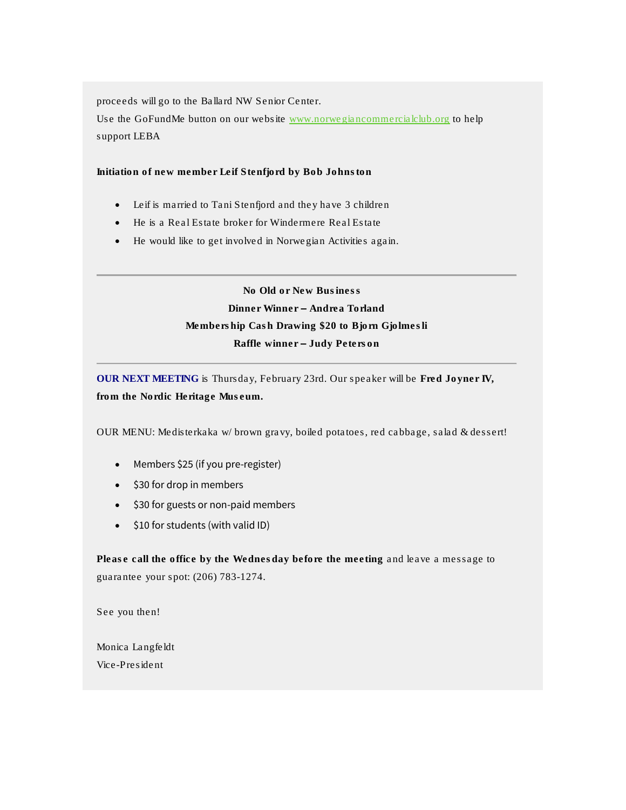proceeds will go to the Ballard NW Senior Center.

Use the GoFundMe button on our website [www.norwegiancommercialclub.org](http://www.norwegiancommercialclub.org/) to help support LEBA

Initiation of new member Leif Stenfjord by Bob Johnston

- Leif is married to Tani Stenfjord and they have 3 children
- He is a Real Estate broker for Windermere Real Estate
- He would like to get involved in Norwegian Activities again.

 No Old or New Business Dinner Winner – Andrea Torland Membership Cash Drawing \$20 to Bjorn Gjolmesli Raffle winner – Judy Peterson

OUR NEXT MEETING is Thursday, February 23rd. Our speaker will be Fred Joyner IV, from the Nordic Heritage Museum.

OUR MENU: Medisterkaka w/ brown gravy, boiled potatoes, red cabbage, salad & dessert!

- Members \$25 (if you pre-register)
- \$30 for drop in members
- \$30 for guests or non-paid members
- $\bullet$  \$10 for students (with valid ID)

Please call the office by the Wednesday before the meeting and leave a message to guarantee your spot: (206) 783-1274.

See you then!

Monica Langfeldt Vice-President